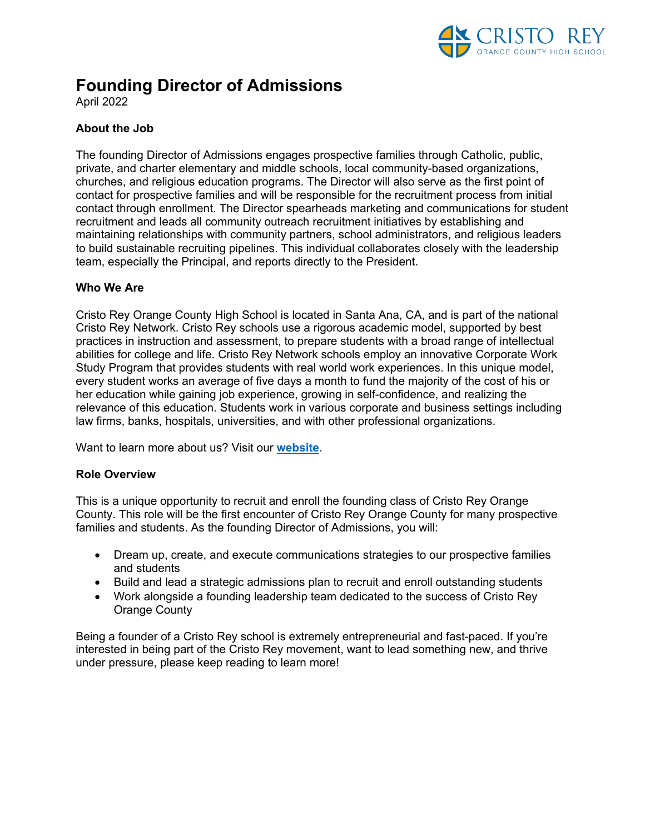

# **Founding Director of Admissions**

April 2022

# **About the Job**

The founding Director of Admissions engages prospective families through Catholic, public, private, and charter elementary and middle schools, local community-based organizations, churches, and religious education programs. The Director will also serve as the first point of contact for prospective families and will be responsible for the recruitment process from initial contact through enrollment. The Director spearheads marketing and communications for student recruitment and leads all community outreach recruitment initiatives by establishing and maintaining relationships with community partners, school administrators, and religious leaders to build sustainable recruiting pipelines. This individual collaborates closely with the leadership team, especially the Principal, and reports directly to the President.

## **Who We Are**

Cristo Rey Orange County High School is located in Santa Ana, CA, and is part of the national Cristo Rey Network. Cristo Rey schools use a rigorous academic model, supported by best practices in instruction and assessment, to prepare students with a broad range of intellectual abilities for college and life. Cristo Rey Network schools employ an innovative Corporate Work Study Program that provides students with real world work experiences. In this unique model, every student works an average of five days a month to fund the majority of the cost of his or her education while gaining job experience, growing in self-confidence, and realizing the relevance of this education. Students work in various corporate and business settings including law firms, banks, hospitals, universities, and with other professional organizations.

Want to learn more about us? Visit our **website**.

### **Role Overview**

This is a unique opportunity to recruit and enroll the founding class of Cristo Rey Orange County. This role will be the first encounter of Cristo Rey Orange County for many prospective families and students. As the founding Director of Admissions, you will:

- Dream up, create, and execute communications strategies to our prospective families and students
- Build and lead a strategic admissions plan to recruit and enroll outstanding students
- Work alongside a founding leadership team dedicated to the success of Cristo Rey Orange County

Being a founder of a Cristo Rey school is extremely entrepreneurial and fast-paced. If you're interested in being part of the Cristo Rey movement, want to lead something new, and thrive under pressure, please keep reading to learn more!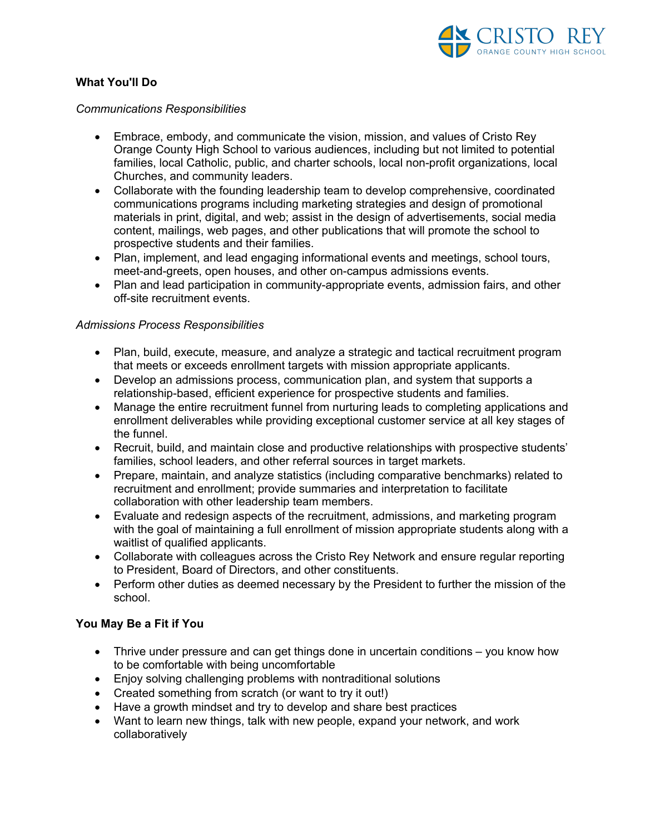

## **What You'll Do**

#### *Communications Responsibilities*

- Embrace, embody, and communicate the vision, mission, and values of Cristo Rey Orange County High School to various audiences, including but not limited to potential families, local Catholic, public, and charter schools, local non-profit organizations, local Churches, and community leaders.
- Collaborate with the founding leadership team to develop comprehensive, coordinated communications programs including marketing strategies and design of promotional materials in print, digital, and web; assist in the design of advertisements, social media content, mailings, web pages, and other publications that will promote the school to prospective students and their families.
- Plan, implement, and lead engaging informational events and meetings, school tours, meet-and-greets, open houses, and other on-campus admissions events.
- Plan and lead participation in community-appropriate events, admission fairs, and other off-site recruitment events.

### *Admissions Process Responsibilities*

- Plan, build, execute, measure, and analyze a strategic and tactical recruitment program that meets or exceeds enrollment targets with mission appropriate applicants.
- Develop an admissions process, communication plan, and system that supports a relationship-based, efficient experience for prospective students and families.
- Manage the entire recruitment funnel from nurturing leads to completing applications and enrollment deliverables while providing exceptional customer service at all key stages of the funnel.
- Recruit, build, and maintain close and productive relationships with prospective students' families, school leaders, and other referral sources in target markets.
- Prepare, maintain, and analyze statistics (including comparative benchmarks) related to recruitment and enrollment; provide summaries and interpretation to facilitate collaboration with other leadership team members.
- Evaluate and redesign aspects of the recruitment, admissions, and marketing program with the goal of maintaining a full enrollment of mission appropriate students along with a waitlist of qualified applicants.
- Collaborate with colleagues across the Cristo Rey Network and ensure regular reporting to President, Board of Directors, and other constituents.
- Perform other duties as deemed necessary by the President to further the mission of the school.

## **You May Be a Fit if You**

- Thrive under pressure and can get things done in uncertain conditions you know how to be comfortable with being uncomfortable
- Enjoy solving challenging problems with nontraditional solutions
- Created something from scratch (or want to try it out!)
- Have a growth mindset and try to develop and share best practices
- Want to learn new things, talk with new people, expand your network, and work collaboratively